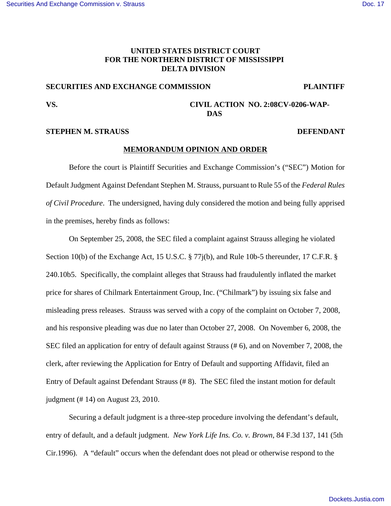# **UNITED STATES DISTRICT COURT FOR THE NORTHERN DISTRICT OF MISSISSIPPI DELTA DIVISION**

# **SECURITIES AND EXCHANGE COMMISSION PLAINTIFF**

# **VS. CIVIL ACTION NO. 2:08CV-0206-WAP-DAS**

# **STEPHEN M. STRAUSS DEFENDANT**

### **MEMORANDUM OPINION AND ORDER**

Before the court is Plaintiff Securities and Exchange Commission's ("SEC") Motion for Default Judgment Against Defendant Stephen M. Strauss, pursuant to Rule 55 of the *Federal Rules of Civil Procedure*. The undersigned, having duly considered the motion and being fully apprised in the premises, hereby finds as follows:

On September 25, 2008, the SEC filed a complaint against Strauss alleging he violated Section 10(b) of the Exchange Act, 15 U.S.C. § 77j(b), and Rule 10b-5 thereunder, 17 C.F.R. § 240.10b5. Specifically, the complaint alleges that Strauss had fraudulently inflated the market price for shares of Chilmark Entertainment Group, Inc. ("Chilmark") by issuing six false and misleading press releases. Strauss was served with a copy of the complaint on October 7, 2008, and his responsive pleading was due no later than October 27, 2008. On November 6, 2008, the SEC filed an application for entry of default against Strauss (# 6), and on November 7, 2008, the clerk, after reviewing the Application for Entry of Default and supporting Affidavit, filed an Entry of Default against Defendant Strauss (# 8). The SEC filed the instant motion for default judgment (# 14) on August 23, 2010.

Securing a default judgment is a three-step procedure involving the defendant's default, entry of default, and a default judgment. *New York Life Ins. Co. v. Brown*, 84 F.3d 137, 141 (5th Cir.1996). A "default" occurs when the defendant does not plead or otherwise respond to the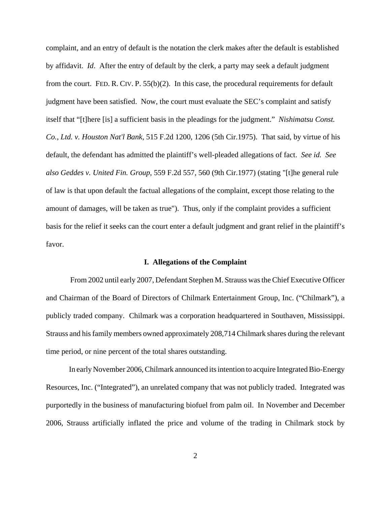complaint, and an entry of default is the notation the clerk makes after the default is established by affidavit. *Id*. After the entry of default by the clerk, a party may seek a default judgment from the court. FED. R. CIV. P. 55(b)(2). In this case, the procedural requirements for default judgment have been satisfied. Now, the court must evaluate the SEC's complaint and satisfy itself that "[t]here [is] a sufficient basis in the pleadings for the judgment." *Nishimatsu Const. Co., Ltd. v. Houston Nat'l Bank*, 515 F.2d 1200, 1206 (5th Cir.1975). That said, by virtue of his default, the defendant has admitted the plaintiff's well-pleaded allegations of fact. *See id. See also Geddes v. United Fin. Group*, 559 F.2d 557, 560 (9th Cir.1977) (stating "[t]he general rule of law is that upon default the factual allegations of the complaint, except those relating to the amount of damages, will be taken as true"). Thus, only if the complaint provides a sufficient basis for the relief it seeks can the court enter a default judgment and grant relief in the plaintiff's favor.

### **I. Allegations of the Complaint**

 From 2002 until early 2007, Defendant Stephen M. Strauss was the Chief Executive Officer and Chairman of the Board of Directors of Chilmark Entertainment Group, Inc. ("Chilmark"), a publicly traded company. Chilmark was a corporation headquartered in Southaven, Mississippi. Strauss and his family members owned approximately 208,714 Chilmark shares during the relevant time period, or nine percent of the total shares outstanding.

In early November 2006, Chilmark announced its intention to acquire Integrated Bio-Energy Resources, Inc. ("Integrated"), an unrelated company that was not publicly traded. Integrated was purportedly in the business of manufacturing biofuel from palm oil. In November and December 2006, Strauss artificially inflated the price and volume of the trading in Chilmark stock by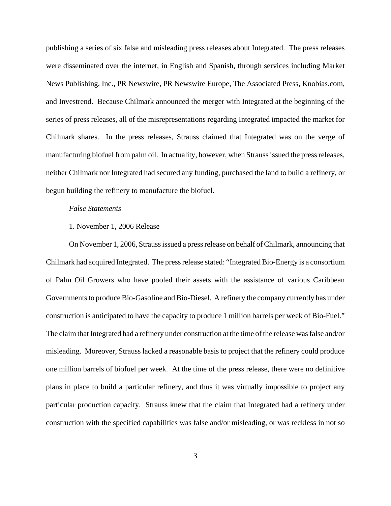publishing a series of six false and misleading press releases about Integrated. The press releases were disseminated over the internet, in English and Spanish, through services including Market News Publishing, Inc., PR Newswire, PR Newswire Europe, The Associated Press, Knobias.com, and Investrend. Because Chilmark announced the merger with Integrated at the beginning of the series of press releases, all of the misrepresentations regarding Integrated impacted the market for Chilmark shares. In the press releases, Strauss claimed that Integrated was on the verge of manufacturing biofuel from palm oil. In actuality, however, when Strauss issued the press releases, neither Chilmark nor Integrated had secured any funding, purchased the land to build a refinery, or begun building the refinery to manufacture the biofuel.

#### *False Statements*

# 1. November 1, 2006 Release

On November 1, 2006, Strauss issued a press release on behalf of Chilmark, announcing that Chilmark had acquired Integrated. The press release stated: "Integrated Bio-Energy is a consortium of Palm Oil Growers who have pooled their assets with the assistance of various Caribbean Governments to produce Bio-Gasoline and Bio-Diesel. A refinery the company currently has under construction is anticipated to have the capacity to produce 1 million barrels per week of Bio-Fuel." The claim that Integrated had a refinery under construction at the time of the release was false and/or misleading. Moreover, Strauss lacked a reasonable basis to project that the refinery could produce one million barrels of biofuel per week. At the time of the press release, there were no definitive plans in place to build a particular refinery, and thus it was virtually impossible to project any particular production capacity. Strauss knew that the claim that Integrated had a refinery under construction with the specified capabilities was false and/or misleading, or was reckless in not so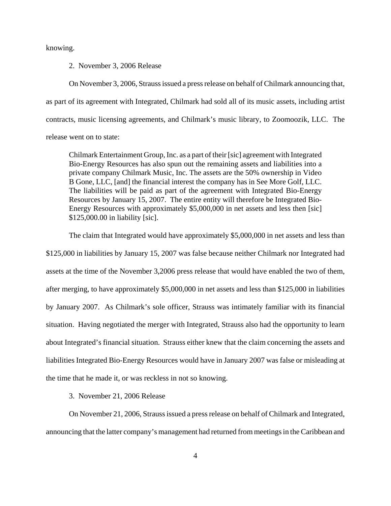knowing.

2. November 3, 2006 Release

On November 3, 2006, Strauss issued a press release on behalf of Chilmark announcing that, as part of its agreement with Integrated, Chilmark had sold all of its music assets, including artist contracts, music licensing agreements, and Chilmark's music library, to Zoomoozik, LLC. The release went on to state:

Chilmark Entertainment Group, Inc. as a part of their [sic] agreement with Integrated Bio-Energy Resources has also spun out the remaining assets and liabilities into a private company Chilmark Music, Inc. The assets are the 50% ownership in Video B Gone, LLC, [and] the financial interest the company has in See More Golf, LLC. The liabilities will be paid as part of the agreement with Integrated Bio-Energy Resources by January 15, 2007. The entire entity will therefore be Integrated Bio-Energy Resources with approximately \$5,000,000 in net assets and less then [sic] \$125,000.00 in liability [sic].

The claim that Integrated would have approximately \$5,000,000 in net assets and less than \$125,000 in liabilities by January 15, 2007 was false because neither Chilmark nor Integrated had assets at the time of the November 3,2006 press release that would have enabled the two of them, after merging, to have approximately \$5,000,000 in net assets and less than \$125,000 in liabilities by January 2007. As Chilmark's sole officer, Strauss was intimately familiar with its financial situation. Having negotiated the merger with Integrated, Strauss also had the opportunity to learn about Integrated's financial situation. Strauss either knew that the claim concerning the assets and liabilities Integrated Bio-Energy Resources would have in January 2007 was false or misleading at the time that he made it, or was reckless in not so knowing.

3. November 21, 2006 Release

On November 21, 2006, Strauss issued a press release on behalf of Chilmark and Integrated, announcing that the latter company's management had returned from meetings in the Caribbean and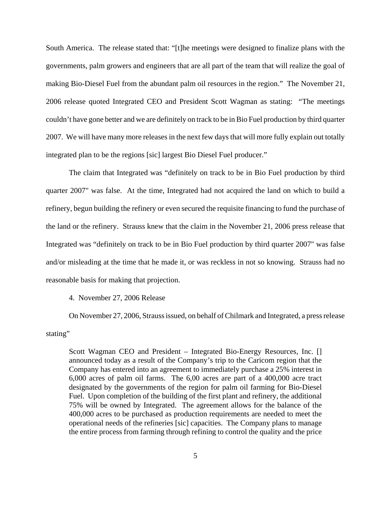South America. The release stated that: "[t]he meetings were designed to finalize plans with the governments, palm growers and engineers that are all part of the team that will realize the goal of making Bio-Diesel Fuel from the abundant palm oil resources in the region." The November 21, 2006 release quoted Integrated CEO and President Scott Wagman as stating: "The meetings couldn't have gone better and we are definitely on track to be in Bio Fuel production by third quarter 2007. We will have many more releases in the next few days that will more fully explain out totally integrated plan to be the regions [sic] largest Bio Diesel Fuel producer."

The claim that Integrated was "definitely on track to be in Bio Fuel production by third quarter 2007" was false. At the time, Integrated had not acquired the land on which to build a refinery, begun building the refinery or even secured the requisite financing to fund the purchase of the land or the refinery. Strauss knew that the claim in the November 21, 2006 press release that Integrated was "definitely on track to be in Bio Fuel production by third quarter 2007" was false and/or misleading at the time that he made it, or was reckless in not so knowing. Strauss had no reasonable basis for making that projection.

#### 4. November 27, 2006 Release

On November 27, 2006, Strauss issued, on behalf of Chilmark and Integrated, a press release stating"

Scott Wagman CEO and President – Integrated Bio-Energy Resources, Inc. [] announced today as a result of the Company's trip to the Caricom region that the Company has entered into an agreement to immediately purchase a 25% interest in 6,000 acres of palm oil farms. The 6,00 acres are part of a 400,000 acre tract designated by the governments of the region for palm oil farming for Bio-Diesel Fuel. Upon completion of the building of the first plant and refinery, the additional 75% will be owned by Integrated. The agreement allows for the balance of the 400,000 acres to be purchased as production requirements are needed to meet the operational needs of the refineries [sic] capacities. The Company plans to manage the entire process from farming through refining to control the quality and the price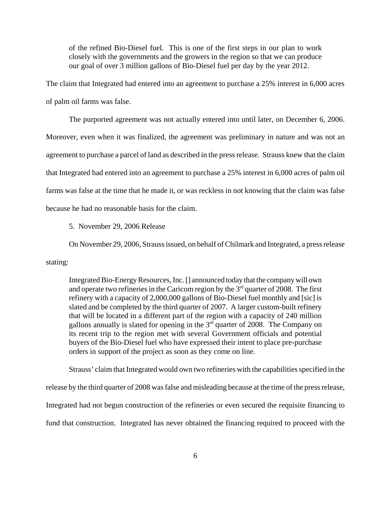of the refined Bio-Diesel fuel. This is one of the first steps in our plan to work closely with the governments and the growers in the region so that we can produce our goal of over 3 million gallons of Bio-Diesel fuel per day by the year 2012.

The claim that Integrated had entered into an agreement to purchase a 25% interest in 6,000 acres of palm oil farms was false.

The purported agreement was not actually entered into until later, on December 6, 2006. Moreover, even when it was finalized, the agreement was preliminary in nature and was not an agreement to purchase a parcel of land as described in the press release. Strauss knew that the claim that Integrated had entered into an agreement to purchase a 25% interest in 6,000 acres of palm oil farms was false at the time that he made it, or was reckless in not knowing that the claim was false because he had no reasonable basis for the claim.

5. November 29, 2006 Release

On November 29, 2006, Strauss issued, on behalf of Chilmark and Integrated, a press release

stating:

Integrated Bio-Energy Resources, Inc. [] announced today that the company will own and operate two refineries in the Caricom region by the  $3<sup>rd</sup>$  quarter of 2008. The first refinery with a capacity of 2,000,000 gallons of Bio-Diesel fuel monthly and [sic] is slated and be completed by the third quarter of 2007. A larger custom-built refinery that will be located in a different part of the region with a capacity of 240 million gallons annually is slated for opening in the  $3<sup>rd</sup>$  quarter of 2008. The Company on its recent trip to the region met with several Government officials and potential buyers of the Bio-Diesel fuel who have expressed their intent to place pre-purchase orders in support of the project as soon as they come on line.

Strauss' claim that Integrated would own two refineries with the capabilities specified in the

release by the third quarter of 2008 was false and misleading because at the time of the press release,

Integrated had not begun construction of the refineries or even secured the requisite financing to

fund that construction. Integrated has never obtained the financing required to proceed with the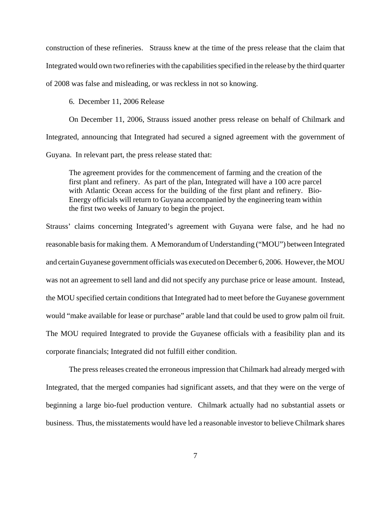construction of these refineries. Strauss knew at the time of the press release that the claim that Integrated would own two refineries with the capabilities specified in the release by the third quarter of 2008 was false and misleading, or was reckless in not so knowing.

6. December 11, 2006 Release

On December 11, 2006, Strauss issued another press release on behalf of Chilmark and Integrated, announcing that Integrated had secured a signed agreement with the government of Guyana. In relevant part, the press release stated that:

The agreement provides for the commencement of farming and the creation of the first plant and refinery. As part of the plan, Integrated will have a 100 acre parcel with Atlantic Ocean access for the building of the first plant and refinery. Bio-Energy officials will return to Guyana accompanied by the engineering team within the first two weeks of January to begin the project.

Strauss' claims concerning Integrated's agreement with Guyana were false, and he had no reasonable basis for making them. A Memorandum of Understanding ("MOU") between Integrated and certain Guyanese government officials was executed on December 6, 2006. However, the MOU was not an agreement to sell land and did not specify any purchase price or lease amount. Instead, the MOU specified certain conditions that Integrated had to meet before the Guyanese government would "make available for lease or purchase" arable land that could be used to grow palm oil fruit. The MOU required Integrated to provide the Guyanese officials with a feasibility plan and its corporate financials; Integrated did not fulfill either condition.

The press releases created the erroneous impression that Chilmark had already merged with Integrated, that the merged companies had significant assets, and that they were on the verge of beginning a large bio-fuel production venture. Chilmark actually had no substantial assets or business. Thus, the misstatements would have led a reasonable investor to believe Chilmark shares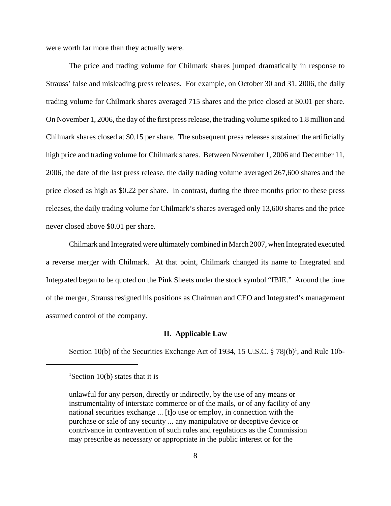were worth far more than they actually were.

The price and trading volume for Chilmark shares jumped dramatically in response to Strauss' false and misleading press releases. For example, on October 30 and 31, 2006, the daily trading volume for Chilmark shares averaged 715 shares and the price closed at \$0.01 per share. On November 1, 2006, the day of the first press release, the trading volume spiked to 1.8 million and Chilmark shares closed at \$0.15 per share. The subsequent press releases sustained the artificially high price and trading volume for Chilmark shares. Between November 1, 2006 and December 11, 2006, the date of the last press release, the daily trading volume averaged 267,600 shares and the price closed as high as \$0.22 per share. In contrast, during the three months prior to these press releases, the daily trading volume for Chilmark's shares averaged only 13,600 shares and the price never closed above \$0.01 per share.

Chilmark and Integrated were ultimately combined in March 2007, when Integrated executed a reverse merger with Chilmark. At that point, Chilmark changed its name to Integrated and Integrated began to be quoted on the Pink Sheets under the stock symbol "IBIE." Around the time of the merger, Strauss resigned his positions as Chairman and CEO and Integrated's management assumed control of the company.

### **II. Applicable Law**

Section 10(b) of the Securities Exchange Act of 1934, 15 U.S.C.  $\S 78j(b)$ <sup>1</sup>, and Rule 10b-

<sup>&</sup>lt;sup>1</sup>Section 10(b) states that it is

unlawful for any person, directly or indirectly, by the use of any means or instrumentality of interstate commerce or of the mails, or of any facility of any national securities exchange ... [t]o use or employ, in connection with the purchase or sale of any security ... any manipulative or deceptive device or contrivance in contravention of such rules and regulations as the Commission may prescribe as necessary or appropriate in the public interest or for the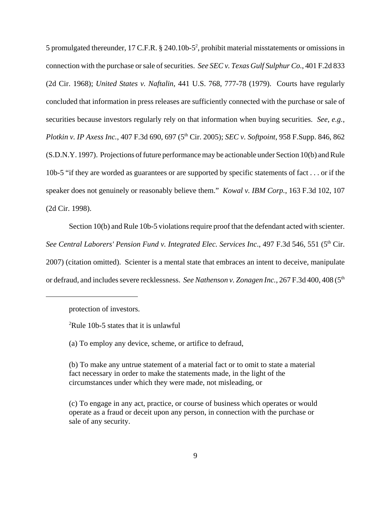5 promulgated thereunder, 17 C.F.R.  $\S$  240.10b-5<sup>2</sup>, prohibit material misstatements or omissions in connection with the purchase or sale of securities. *See SEC v. Texas Gulf Sulphur Co.*, 401 F.2d 833 (2d Cir. 1968); *United States v. Naftalin*, 441 U.S. 768, 777-78 (1979). Courts have regularly concluded that information in press releases are sufficiently connected with the purchase or sale of securities because investors regularly rely on that information when buying securities. *See, e.g., Plotkin v. IP Axess Inc.*, 407 F.3d 690, 697 (5<sup>th</sup> Cir. 2005); *SEC v. Softpoint*, 958 F.Supp. 846, 862 (S.D.N.Y. 1997). Projections of future performance may be actionable under Section 10(b) and Rule 10b-5 "if they are worded as guarantees or are supported by specific statements of fact . . . or if the speaker does not genuinely or reasonably believe them." *Kowal v. IBM Corp.*, 163 F.3d 102, 107 (2d Cir. 1998).

Section 10(b) and Rule 10b-5 violations require proof that the defendant acted with scienter. See Central Laborers' Pension Fund v. Integrated Elec. Services Inc., 497 F.3d 546, 551 (5<sup>th</sup> Cir. 2007) (citation omitted). Scienter is a mental state that embraces an intent to deceive, manipulate or defraud, and includes severe recklessness. *See Nathenson v. Zonagen Inc.*, 267 F.3d 400, 408 (5<sup>th</sup>

protection of investors.

<sup>2</sup>Rule 10b-5 states that it is unlawful

(a) To employ any device, scheme, or artifice to defraud,

(b) To make any untrue statement of a material fact or to omit to state a material fact necessary in order to make the statements made, in the light of the circumstances under which they were made, not misleading, or

(c) To engage in any act, practice, or course of business which operates or would operate as a fraud or deceit upon any person, in connection with the purchase or sale of any security.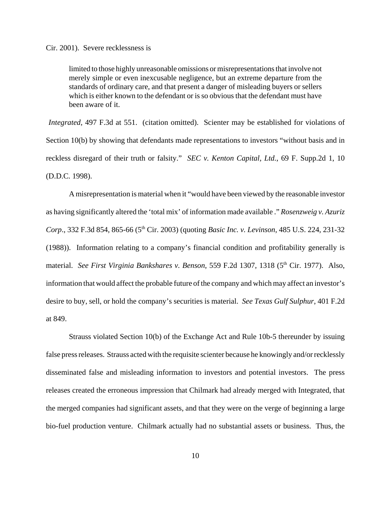### Cir. 2001). Severe recklessness is

limited to those highly unreasonable omissions or misrepresentations that involve not merely simple or even inexcusable negligence, but an extreme departure from the standards of ordinary care, and that present a danger of misleading buyers or sellers which is either known to the defendant or is so obvious that the defendant must have been aware of it.

 *Integrated*, 497 F.3d at 551. (citation omitted). Scienter may be established for violations of Section 10(b) by showing that defendants made representations to investors "without basis and in reckless disregard of their truth or falsity." *SEC v. Kenton Capital, Ltd.*, 69 F. Supp.2d 1, 10 (D.D.C. 1998).

A misrepresentation is material when it "would have been viewed by the reasonable investor as having significantly altered the 'total mix' of information made available ." *Rosenzweig v. Azuriz Corp*., 332 F.3d 854, 865-66 (5th Cir. 2003) (quoting *Basic Inc. v. Levinson*, 485 U.S. 224, 231-32 (1988)). Information relating to a company's financial condition and profitability generally is material. See First Virginia Bankshares v. Benson, 559 F.2d 1307, 1318 (5<sup>th</sup> Cir. 1977). Also, information that would affect the probable future of the company and which may affect an investor's desire to buy, sell, or hold the company's securities is material. *See Texas Gulf Sulphur*, 401 F.2d at 849.

Strauss violated Section 10(b) of the Exchange Act and Rule 10b-5 thereunder by issuing false press releases. Strauss acted with the requisite scienter because he knowingly and/or recklessly disseminated false and misleading information to investors and potential investors. The press releases created the erroneous impression that Chilmark had already merged with Integrated, that the merged companies had significant assets, and that they were on the verge of beginning a large bio-fuel production venture. Chilmark actually had no substantial assets or business. Thus, the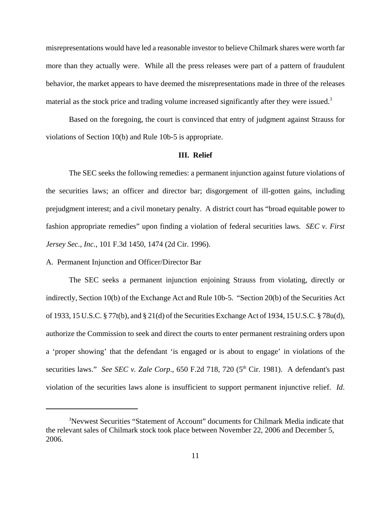misrepresentations would have led a reasonable investor to believe Chilmark shares were worth far more than they actually were. While all the press releases were part of a pattern of fraudulent behavior, the market appears to have deemed the misrepresentations made in three of the releases material as the stock price and trading volume increased significantly after they were issued.<sup>3</sup>

Based on the foregoing, the court is convinced that entry of judgment against Strauss for violations of Section 10(b) and Rule 10b-5 is appropriate.

# **III. Relief**

The SEC seeks the following remedies: a permanent injunction against future violations of the securities laws; an officer and director bar; disgorgement of ill-gotten gains, including prejudgment interest; and a civil monetary penalty. A district court has "broad equitable power to fashion appropriate remedies" upon finding a violation of federal securities laws. *SEC v. First Jersey Sec., Inc.*, 101 F.3d 1450, 1474 (2d Cir. 1996).

### A. Permanent Injunction and Officer/Director Bar

The SEC seeks a permanent injunction enjoining Strauss from violating, directly or indirectly, Section 10(b) of the Exchange Act and Rule 10b-5. "Section 20(b) of the Securities Act of 1933, 15 U.S.C. § 77t(b), and § 21(d) of the Securities Exchange Act of 1934, 15 U.S.C. § 78u(d), authorize the Commission to seek and direct the courts to enter permanent restraining orders upon a 'proper showing' that the defendant 'is engaged or is about to engage' in violations of the securities laws." *See SEC v. Zale Corp.*, 650 F.2d 718, 720 (5<sup>th</sup> Cir. 1981). A defendant's past violation of the securities laws alone is insufficient to support permanent injunctive relief. *Id*.

<sup>&</sup>lt;sup>3</sup>Nevwest Securities "Statement of Account" documents for Chilmark Media indicate that the relevant sales of Chilmark stock took place between November 22, 2006 and December 5, 2006.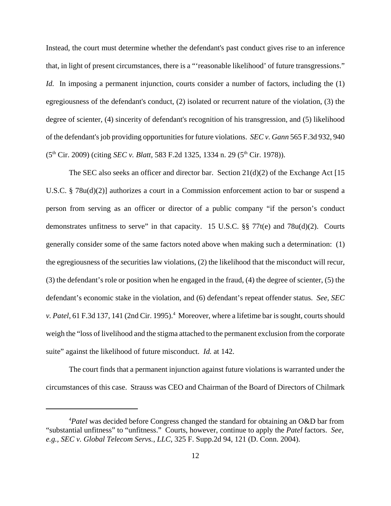Instead, the court must determine whether the defendant's past conduct gives rise to an inference that, in light of present circumstances, there is a "'reasonable likelihood' of future transgressions." *Id.* In imposing a permanent injunction, courts consider a number of factors, including the (1) egregiousness of the defendant's conduct, (2) isolated or recurrent nature of the violation, (3) the degree of scienter, (4) sincerity of defendant's recognition of his transgression, and (5) likelihood of the defendant's job providing opportunities for future violations. *SEC v. Gann* 565 F.3d 932, 940 (5th Cir. 2009) (citing *SEC v. Blatt*, 583 F.2d 1325, 1334 n. 29 (5th Cir. 1978)).

The SEC also seeks an officer and director bar. Section  $21(d)(2)$  of the Exchange Act [15] U.S.C. § 78u(d)(2)] authorizes a court in a Commission enforcement action to bar or suspend a person from serving as an officer or director of a public company "if the person's conduct demonstrates unfitness to serve" in that capacity. 15 U.S.C.  $\S$  77t(e) and 78u(d)(2). Courts generally consider some of the same factors noted above when making such a determination: (1) the egregiousness of the securities law violations, (2) the likelihood that the misconduct will recur, (3) the defendant's role or position when he engaged in the fraud, (4) the degree of scienter, (5) the defendant's economic stake in the violation, and (6) defendant's repeat offender status. *See, SEC* v. Patel, 61 F.3d 137, 141 (2nd Cir. 1995).<sup>4</sup> Moreover, where a lifetime bar is sought, courts should weigh the "loss of livelihood and the stigma attached to the permanent exclusion from the corporate suite" against the likelihood of future misconduct. *Id.* at 142.

The court finds that a permanent injunction against future violations is warranted under the circumstances of this case. Strauss was CEO and Chairman of the Board of Directors of Chilmark

<sup>4</sup> *Patel* was decided before Congress changed the standard for obtaining an O&D bar from "substantial unfitness" to "unfitness." Courts, however, continue to apply the *Patel* factors. *See, e.g., SEC v. Global Telecom Servs., LLC*, 325 F. Supp.2d 94, 121 (D. Conn. 2004).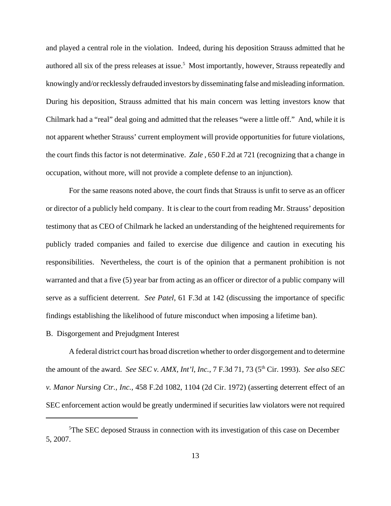and played a central role in the violation. Indeed, during his deposition Strauss admitted that he authored all six of the press releases at issue.<sup>5</sup> Most importantly, however, Strauss repeatedly and knowingly and/or recklessly defrauded investors by disseminating false and misleading information. During his deposition, Strauss admitted that his main concern was letting investors know that Chilmark had a "real" deal going and admitted that the releases "were a little off." And, while it is not apparent whether Strauss' current employment will provide opportunities for future violations, the court finds this factor is not determinative. *Zale* , 650 F.2d at 721 (recognizing that a change in occupation, without more, will not provide a complete defense to an injunction).

For the same reasons noted above, the court finds that Strauss is unfit to serve as an officer or director of a publicly held company. It is clear to the court from reading Mr. Strauss' deposition testimony that as CEO of Chilmark he lacked an understanding of the heightened requirements for publicly traded companies and failed to exercise due diligence and caution in executing his responsibilities. Nevertheless, the court is of the opinion that a permanent prohibition is not warranted and that a five (5) year bar from acting as an officer or director of a public company will serve as a sufficient deterrent. *See Patel*, 61 F.3d at 142 (discussing the importance of specific findings establishing the likelihood of future misconduct when imposing a lifetime ban).

### B. Disgorgement and Prejudgment Interest

A federal district court has broad discretion whether to order disgorgement and to determine the amount of the award. *See SEC v. AMX, Int'l, Inc.*, 7 F.3d 71, 73 (5<sup>th</sup> Cir. 1993). *See also SEC v. Manor Nursing Ctr., Inc.*, 458 F.2d 1082, 1104 (2d Cir. 1972) (asserting deterrent effect of an SEC enforcement action would be greatly undermined if securities law violators were not required

<sup>&</sup>lt;sup>5</sup>The SEC deposed Strauss in connection with its investigation of this case on December 5, 2007.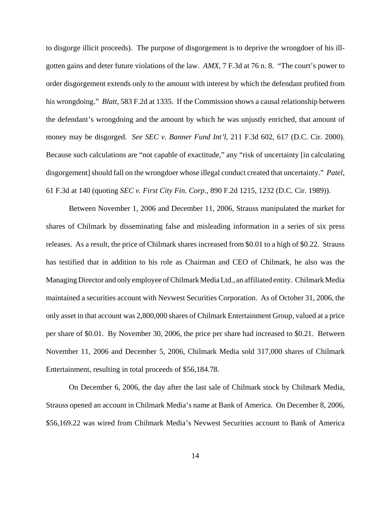to disgorge illicit proceeds). The purpose of disgorgement is to deprive the wrongdoer of his illgotten gains and deter future violations of the law. *AMX*, 7 F.3d at 76 n. 8. "The court's power to order disgorgement extends only to the amount with interest by which the defendant profited from his wrongdoing." *Blatt*, 583 F.2d at 1335. If the Commission shows a causal relationship between the defendant's wrongdoing and the amount by which he was unjustly enriched, that amount of money may be disgorged. *See SEC v. Banner Fund Int'l*, 211 F.3d 602, 617 (D.C. Cir. 2000). Because such calculations are "not capable of exactitude," any "risk of uncertainty [in calculating disgorgement] should fall on the wrongdoer whose illegal conduct created that uncertainty." *Patel*, 61 F.3d at 140 (quoting *SEC v. First City Fin. Corp*., 890 F.2d 1215, 1232 (D.C. Cir. 1989)).

Between November 1, 2006 and December 11, 2006, Strauss manipulated the market for shares of Chilmark by disseminating false and misleading information in a series of six press releases. As a result, the price of Chilmark shares increased from \$0.01 to a high of \$0.22. Strauss has testified that in addition to his role as Chairman and CEO of Chilmark, he also was the Managing Director and only employee of Chilmark Media Ltd., an affiliated entity. Chilmark Media maintained a securities account with Nevwest Securities Corporation. As of October 31, 2006, the only asset in that account was 2,800,000 shares of Chilmark Entertainment Group, valued at a price per share of \$0.01. By November 30, 2006, the price per share had increased to \$0.21. Between November 11, 2006 and December 5, 2006, Chilmark Media sold 317,000 shares of Chilmark Entertainment, resulting in total proceeds of \$56,184.78.

On December 6, 2006, the day after the last sale of Chilmark stock by Chilmark Media, Strauss opened an account in Chilmark Media's name at Bank of America. On December 8, 2006, \$56,169.22 was wired from Chilmark Media's Nevwest Securities account to Bank of America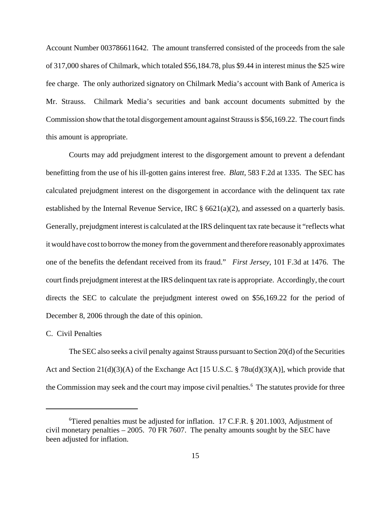Account Number 003786611642. The amount transferred consisted of the proceeds from the sale of 317,000 shares of Chilmark, which totaled \$56,184.78, plus \$9.44 in interest minus the \$25 wire fee charge. The only authorized signatory on Chilmark Media's account with Bank of America is Mr. Strauss. Chilmark Media's securities and bank account documents submitted by the Commission show that the total disgorgement amount against Strauss is \$56,169.22. The court finds this amount is appropriate.

Courts may add prejudgment interest to the disgorgement amount to prevent a defendant benefitting from the use of his ill-gotten gains interest free. *Blatt,* 583 F.2d at 1335. The SEC has calculated prejudgment interest on the disgorgement in accordance with the delinquent tax rate established by the Internal Revenue Service, IRC § 6621(a)(2), and assessed on a quarterly basis. Generally, prejudgment interest is calculated at the IRS delinquent tax rate because it "reflects what it would have cost to borrow the money from the government and therefore reasonably approximates one of the benefits the defendant received from its fraud." *First Jersey*, 101 F.3d at 1476. The court finds prejudgment interest at the IRS delinquent tax rate is appropriate. Accordingly, the court directs the SEC to calculate the prejudgment interest owed on \$56,169.22 for the period of December 8, 2006 through the date of this opinion.

### C. Civil Penalties

The SEC also seeks a civil penalty against Strauss pursuant to Section 20(d) of the Securities Act and Section  $21(d)(3)(A)$  of the Exchange Act [15 U.S.C. § 78u(d)(3)(A)], which provide that the Commission may seek and the court may impose civil penalties.<sup>6</sup> The statutes provide for three

<sup>6</sup> Tiered penalties must be adjusted for inflation. 17 C.F.R. § 201.1003, Adjustment of civil monetary penalties – 2005. 70 FR 7607. The penalty amounts sought by the SEC have been adjusted for inflation.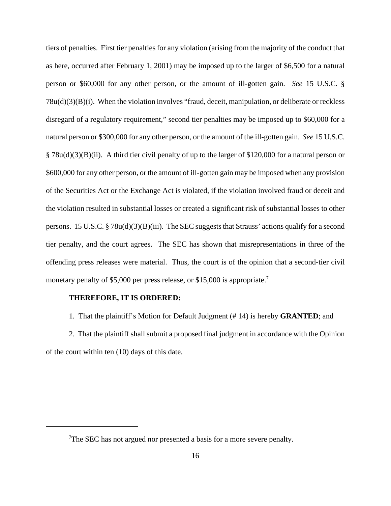tiers of penalties. First tier penalties for any violation (arising from the majority of the conduct that as here, occurred after February 1, 2001) may be imposed up to the larger of \$6,500 for a natural person or \$60,000 for any other person, or the amount of ill-gotten gain. *See* 15 U.S.C. § 78u(d)(3)(B)(i). When the violation involves "fraud, deceit, manipulation, or deliberate or reckless disregard of a regulatory requirement," second tier penalties may be imposed up to \$60,000 for a natural person or \$300,000 for any other person, or the amount of the ill-gotten gain. *See* 15 U.S.C. § 78u(d)(3)(B)(ii). A third tier civil penalty of up to the larger of \$120,000 for a natural person or \$600,000 for any other person, or the amount of ill-gotten gain may be imposed when any provision of the Securities Act or the Exchange Act is violated, if the violation involved fraud or deceit and the violation resulted in substantial losses or created a significant risk of substantial losses to other persons. 15 U.S.C. § 78u(d)(3)(B)(iii). The SEC suggests that Strauss' actions qualify for a second tier penalty, and the court agrees. The SEC has shown that misrepresentations in three of the offending press releases were material. Thus, the court is of the opinion that a second-tier civil monetary penalty of \$5,000 per press release, or \$15,000 is appropriate.<sup>7</sup>

### **THEREFORE, IT IS ORDERED:**

1. That the plaintiff's Motion for Default Judgment (# 14) is hereby **GRANTED**; and

2. That the plaintiff shall submit a proposed final judgment in accordance with the Opinion of the court within ten (10) days of this date.

 $T$ The SEC has not argued nor presented a basis for a more severe penalty.